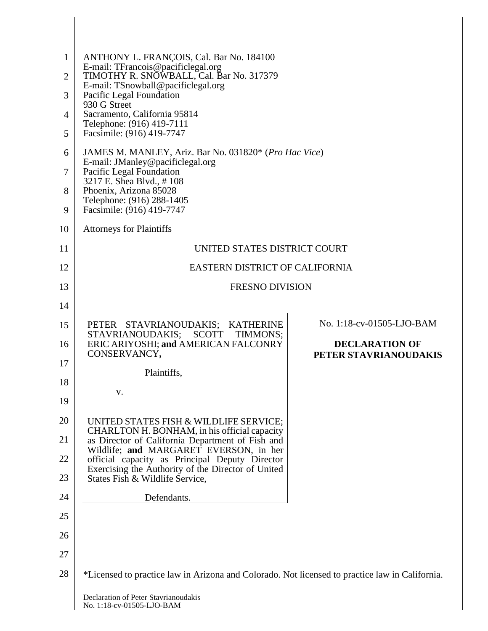| $\mathbf{1}$<br>$\overline{2}$ | ANTHONY L. FRANÇOIS, Cal. Bar No. 184100<br>E-mail: TFrancois@pacificlegal.org<br>TIMOTHY R. SNOWBALL, Cal. Bar No. 317379<br>E-mail: TSnowball@pacificlegal.org<br>Pacific Legal Foundation<br>930 G Street |                                                |
|--------------------------------|--------------------------------------------------------------------------------------------------------------------------------------------------------------------------------------------------------------|------------------------------------------------|
|                                |                                                                                                                                                                                                              |                                                |
| 3                              |                                                                                                                                                                                                              |                                                |
| 4                              | Sacramento, California 95814<br>Telephone: (916) 419-7111<br>Facsimile: (916) 419-7747                                                                                                                       |                                                |
| 5                              | JAMES M. MANLEY, Ariz. Bar No. 031820* (Pro Hac Vice)<br>E-mail: JManley@pacificlegal.org<br>Pacific Legal Foundation<br>3217 E. Shea Blvd., #108                                                            |                                                |
| 6                              |                                                                                                                                                                                                              |                                                |
| 7                              |                                                                                                                                                                                                              |                                                |
| 8                              | Phoenix, Arizona 85028<br>Telephone: (916) 288-1405                                                                                                                                                          |                                                |
| 9                              | Facsimile: (916) 419-7747                                                                                                                                                                                    |                                                |
| 10                             | <b>Attorneys for Plaintiffs</b>                                                                                                                                                                              |                                                |
| 11                             | UNITED STATES DISTRICT COURT                                                                                                                                                                                 |                                                |
| 12                             | EASTERN DISTRICT OF CALIFORNIA                                                                                                                                                                               |                                                |
| 13                             | <b>FRESNO DIVISION</b>                                                                                                                                                                                       |                                                |
| 14                             |                                                                                                                                                                                                              |                                                |
| 15                             | PETER STAVRIANOUDAKIS; KATHERINE<br>STAVRIANOUDAKIS;<br><b>SCOTT</b><br>TIMMONS;                                                                                                                             | No. 1:18-cv-01505-LJO-BAM                      |
| 16                             | ERIC ARIYOSHI; and AMERICAN FALCONRY<br>CONSERVANCY,                                                                                                                                                         | <b>DECLARATION OF</b><br>PETER STAVRIANOUDAKIS |
| 17                             | Plaintiffs,                                                                                                                                                                                                  |                                                |
| 18                             |                                                                                                                                                                                                              |                                                |
| 19                             | v.                                                                                                                                                                                                           |                                                |
| 20                             | UNITED STATES FISH & WILDLIFE SERVICE;<br>CHARLTON H. BONHAM, in his official capacity                                                                                                                       |                                                |
| 21                             | as Director of California Department of Fish and<br>Wildlife; and MARGARET EVERSON, in her                                                                                                                   |                                                |
| 22                             | official capacity as Principal Deputy Director                                                                                                                                                               |                                                |
| 23                             | Exercising the Authority of the Director of United<br>States Fish & Wildlife Service,                                                                                                                        |                                                |
| 24                             | Defendants.                                                                                                                                                                                                  |                                                |
| 25                             |                                                                                                                                                                                                              |                                                |
| 26                             |                                                                                                                                                                                                              |                                                |
| 27                             |                                                                                                                                                                                                              |                                                |
| 28                             | *Licensed to practice law in Arizona and Colorado. Not licensed to practice law in California.                                                                                                               |                                                |
|                                | Declaration of Dator Ctayrianoudakie                                                                                                                                                                         |                                                |

 $\parallel$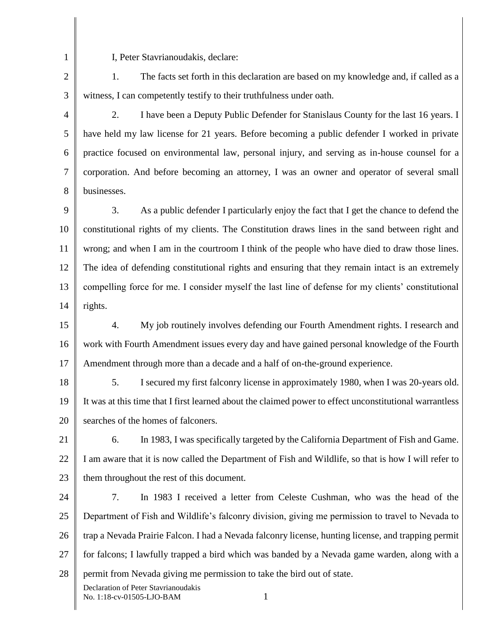2

1

I, Peter Stavrianoudakis, declare:

3 1. The facts set forth in this declaration are based on my knowledge and, if called as a witness, I can competently testify to their truthfulness under oath.

4

5

6

7

8

2. I have been a Deputy Public Defender for Stanislaus County for the last 16 years. I have held my law license for 21 years. Before becoming a public defender I worked in private practice focused on environmental law, personal injury, and serving as in-house counsel for a corporation. And before becoming an attorney, I was an owner and operator of several small businesses.

9 10 11 12 13 14 3. As a public defender I particularly enjoy the fact that I get the chance to defend the constitutional rights of my clients. The Constitution draws lines in the sand between right and wrong; and when I am in the courtroom I think of the people who have died to draw those lines. The idea of defending constitutional rights and ensuring that they remain intact is an extremely compelling force for me. I consider myself the last line of defense for my clients' constitutional rights.

15 16 17 4. My job routinely involves defending our Fourth Amendment rights. I research and work with Fourth Amendment issues every day and have gained personal knowledge of the Fourth Amendment through more than a decade and a half of on-the-ground experience.

18 19 20 5. I secured my first falconry license in approximately 1980, when I was 20-years old. It was at this time that I first learned about the claimed power to effect unconstitutional warrantless searches of the homes of falconers.

21 22 23 6. In 1983, I was specifically targeted by the California Department of Fish and Game. I am aware that it is now called the Department of Fish and Wildlife, so that is how I will refer to them throughout the rest of this document.

24 25 26 27 28 Declaration of Peter Stavrianoudakis No. 1:18-cv-01505-LJO-BAM 1 7. In 1983 I received a letter from Celeste Cushman, who was the head of the Department of Fish and Wildlife's falconry division, giving me permission to travel to Nevada to trap a Nevada Prairie Falcon. I had a Nevada falconry license, hunting license, and trapping permit for falcons; I lawfully trapped a bird which was banded by a Nevada game warden, along with a permit from Nevada giving me permission to take the bird out of state.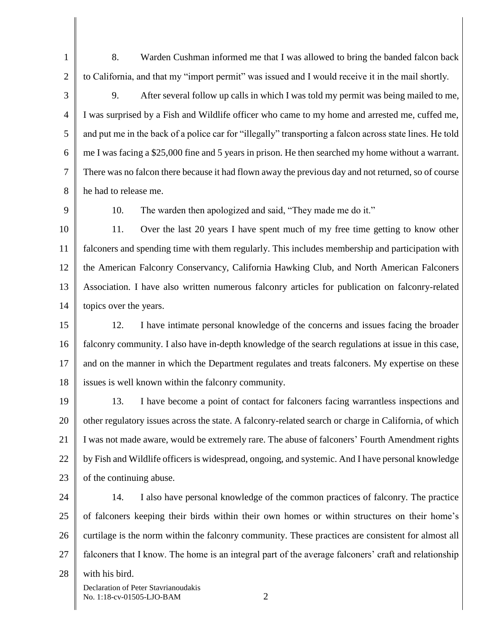8. Warden Cushman informed me that I was allowed to bring the banded falcon back to California, and that my "import permit" was issued and I would receive it in the mail shortly.

3 4 6 9. After several follow up calls in which I was told my permit was being mailed to me, I was surprised by a Fish and Wildlife officer who came to my home and arrested me, cuffed me, and put me in the back of a police car for "illegally" transporting a falcon across state lines. He told me I was facing a \$25,000 fine and 5 years in prison. He then searched my home without a warrant. There was no falcon there because it had flown away the previous day and not returned, so of course he had to release me.

9

1

2

5

7

8

10. The warden then apologized and said, "They made me do it."

10 11 12 13 14 11. Over the last 20 years I have spent much of my free time getting to know other falconers and spending time with them regularly. This includes membership and participation with the American Falconry Conservancy, California Hawking Club, and North American Falconers Association. I have also written numerous falconry articles for publication on falconry-related topics over the years.

15 16 17 18 12. I have intimate personal knowledge of the concerns and issues facing the broader falconry community. I also have in-depth knowledge of the search regulations at issue in this case, and on the manner in which the Department regulates and treats falconers. My expertise on these issues is well known within the falconry community.

19 20 21 22 23 13. I have become a point of contact for falconers facing warrantless inspections and other regulatory issues across the state. A falconry-related search or charge in California, of which I was not made aware, would be extremely rare. The abuse of falconers' Fourth Amendment rights by Fish and Wildlife officers is widespread, ongoing, and systemic. And I have personal knowledge of the continuing abuse.

24 25 26 27 28 14. I also have personal knowledge of the common practices of falconry. The practice of falconers keeping their birds within their own homes or within structures on their home's curtilage is the norm within the falconry community. These practices are consistent for almost all falconers that I know. The home is an integral part of the average falconers' craft and relationship with his bird.

Declaration of Peter Stavrianoudakis No. 1:18-cv-01505-LJO-BAM 2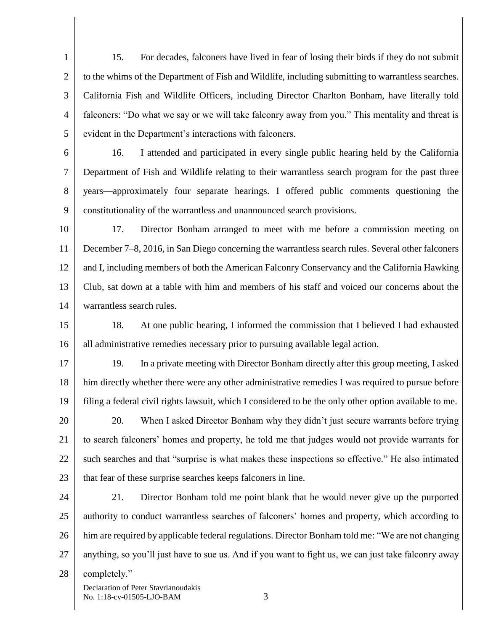1 2 3 4 5 15. For decades, falconers have lived in fear of losing their birds if they do not submit to the whims of the Department of Fish and Wildlife, including submitting to warrantless searches. California Fish and Wildlife Officers, including Director Charlton Bonham, have literally told falconers: "Do what we say or we will take falconry away from you." This mentality and threat is evident in the Department's interactions with falconers.

6

7

8

9

16. I attended and participated in every single public hearing held by the California Department of Fish and Wildlife relating to their warrantless search program for the past three years—approximately four separate hearings. I offered public comments questioning the constitutionality of the warrantless and unannounced search provisions.

10 11 12 13 14 17. Director Bonham arranged to meet with me before a commission meeting on December 7–8, 2016, in San Diego concerning the warrantless search rules. Several other falconers and I, including members of both the American Falconry Conservancy and the California Hawking Club, sat down at a table with him and members of his staff and voiced our concerns about the warrantless search rules.

15 16 18. At one public hearing, I informed the commission that I believed I had exhausted all administrative remedies necessary prior to pursuing available legal action.

17 18 19 19. In a private meeting with Director Bonham directly after this group meeting, I asked him directly whether there were any other administrative remedies I was required to pursue before filing a federal civil rights lawsuit, which I considered to be the only other option available to me.

20 21 22 23 20. When I asked Director Bonham why they didn't just secure warrants before trying to search falconers' homes and property, he told me that judges would not provide warrants for such searches and that "surprise is what makes these inspections so effective." He also intimated that fear of these surprise searches keeps falconers in line.

24 25 26 27 28 21. Director Bonham told me point blank that he would never give up the purported authority to conduct warrantless searches of falconers' homes and property, which according to him are required by applicable federal regulations. Director Bonham told me: "We are not changing anything, so you'll just have to sue us. And if you want to fight us, we can just take falconry away completely."

Declaration of Peter Stavrianoudakis No. 1:18-cv-01505-LJO-BAM 3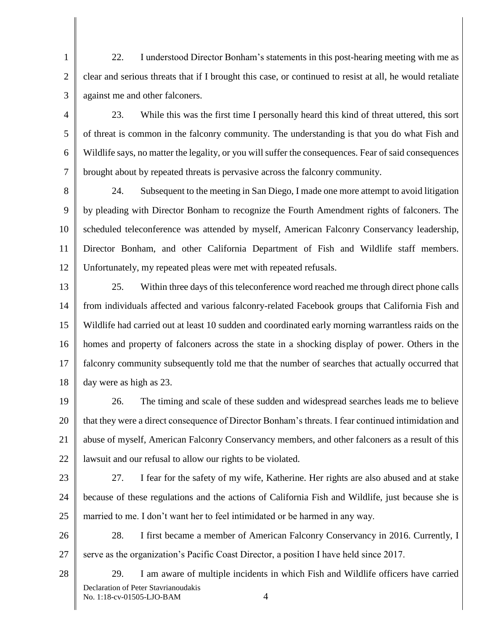1 2 3 22. I understood Director Bonham's statements in this post-hearing meeting with me as clear and serious threats that if I brought this case, or continued to resist at all, he would retaliate against me and other falconers.

4 5 6 7 23. While this was the first time I personally heard this kind of threat uttered, this sort of threat is common in the falconry community. The understanding is that you do what Fish and Wildlife says, no matter the legality, or you will suffer the consequences. Fear of said consequences brought about by repeated threats is pervasive across the falconry community.

8 9 10 11 12 24. Subsequent to the meeting in San Diego, I made one more attempt to avoid litigation by pleading with Director Bonham to recognize the Fourth Amendment rights of falconers. The scheduled teleconference was attended by myself, American Falconry Conservancy leadership, Director Bonham, and other California Department of Fish and Wildlife staff members. Unfortunately, my repeated pleas were met with repeated refusals.

13 14 15 16 17 18 25. Within three days of this teleconference word reached me through direct phone calls from individuals affected and various falconry-related Facebook groups that California Fish and Wildlife had carried out at least 10 sudden and coordinated early morning warrantless raids on the homes and property of falconers across the state in a shocking display of power. Others in the falconry community subsequently told me that the number of searches that actually occurred that day were as high as 23.

19 20 21 22 26. The timing and scale of these sudden and widespread searches leads me to believe that they were a direct consequence of Director Bonham's threats. I fear continued intimidation and abuse of myself, American Falconry Conservancy members, and other falconers as a result of this lawsuit and our refusal to allow our rights to be violated.

23

24 25 27. I fear for the safety of my wife, Katherine. Her rights are also abused and at stake because of these regulations and the actions of California Fish and Wildlife, just because she is married to me. I don't want her to feel intimidated or be harmed in any way.

26 27 28. I first became a member of American Falconry Conservancy in 2016. Currently, I serve as the organization's Pacific Coast Director, a position I have held since 2017.

28

29. I am aware of multiple incidents in which Fish and Wildlife officers have carried

Declaration of Peter Stavrianoudakis No. 1:18-cv-01505-LJO-BAM 4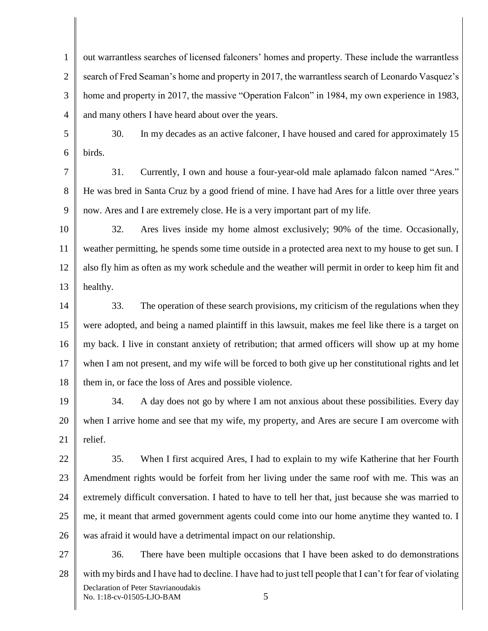1 2 3 4 out warrantless searches of licensed falconers' homes and property. These include the warrantless search of Fred Seaman's home and property in 2017, the warrantless search of Leonardo Vasquez's home and property in 2017, the massive "Operation Falcon" in 1984, my own experience in 1983, and many others I have heard about over the years.

5 6 30. In my decades as an active falconer, I have housed and cared for approximately 15 birds.

7 8 9 31. Currently, I own and house a four-year-old male aplamado falcon named "Ares." He was bred in Santa Cruz by a good friend of mine. I have had Ares for a little over three years now. Ares and I are extremely close. He is a very important part of my life.

10 11 12 13 32. Ares lives inside my home almost exclusively; 90% of the time. Occasionally, weather permitting, he spends some time outside in a protected area next to my house to get sun. I also fly him as often as my work schedule and the weather will permit in order to keep him fit and healthy.

14 15 16 17 18 33. The operation of these search provisions, my criticism of the regulations when they were adopted, and being a named plaintiff in this lawsuit, makes me feel like there is a target on my back. I live in constant anxiety of retribution; that armed officers will show up at my home when I am not present, and my wife will be forced to both give up her constitutional rights and let them in, or face the loss of Ares and possible violence.

19 20 21 34. A day does not go by where I am not anxious about these possibilities. Every day when I arrive home and see that my wife, my property, and Ares are secure I am overcome with relief.

22 23 24 25 26 35. When I first acquired Ares, I had to explain to my wife Katherine that her Fourth Amendment rights would be forfeit from her living under the same roof with me. This was an extremely difficult conversation. I hated to have to tell her that, just because she was married to me, it meant that armed government agents could come into our home anytime they wanted to. I was afraid it would have a detrimental impact on our relationship.

27 28 Declaration of Peter Stavrianoudakis No. 1:18-cv-01505-LJO-BAM 5 36. There have been multiple occasions that I have been asked to do demonstrations with my birds and I have had to decline. I have had to just tell people that I can't for fear of violating